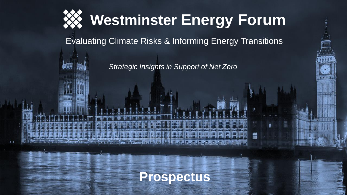

Evaluating Climate Risks & Informing Energy Transitions

*Strategic Insights in Support of Net Zero*

m

**Prospectus**

 $\sqrt{1 + 1 + 1}$  and  $\sqrt{1 + 1}$  and  $\sqrt{1 + 1}$  and  $\sqrt{1 + 1}$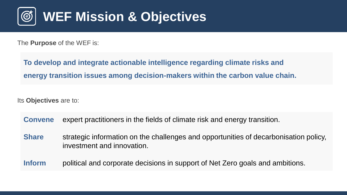

The **Purpose** of the WEF is:

**To develop and integrate actionable intelligence regarding climate risks and energy transition issues among decision-makers within the carbon value chain.**

Its **Objectives** are to:

|  |  |  |  |  |  |  | <b>Convene</b> expert practitioners in the fields of climate risk and energy transition. |
|--|--|--|--|--|--|--|------------------------------------------------------------------------------------------|
|--|--|--|--|--|--|--|------------------------------------------------------------------------------------------|

**Share** strategic information on the challenges and opportunities of decarbonisation policy, investment and innovation.

**Inform** political and corporate decisions in support of Net Zero goals and ambitions.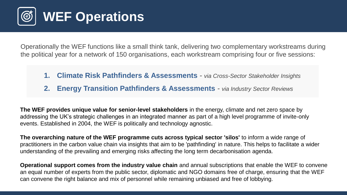

Operationally the WEF functions like a small think tank, delivering two complementary workstreams during the political year for a network of 150 organisations, each workstream comprising four or five sessions:

- **1. Climate Risk Pathfinders & Assessments** *- via Cross-Sector Stakeholder Insights*
- **2. Energy Transition Pathfinders & Assessments** *- via Industry Sector Reviews*

**The WEF provides unique value for senior-level stakeholders** in the energy, climate and net zero space by addressing the UK's strategic challenges in an integrated manner as part of a high level programme of invite-only events. Established in 2004, the WEF is politically and technology agnostic.

**The overarching nature of the WEF programme cuts across typical sector 'silos'** to inform a wide range of practitioners in the carbon value chain via insights that aim to be 'pathfinding' in nature. This helps to facilitate a wider understanding of the prevailing and emerging risks affecting the long term decarbonisation agenda.

**Operational support comes from the industry value chain** and annual subscriptions that enable the WEF to convene an equal number of experts from the public sector, diplomatic and NGO domains free of charge, ensuring that the WEF can convene the right balance and mix of personnel while remaining unbiased and free of lobbying.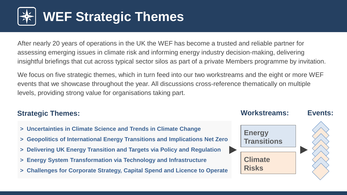

After nearly 20 years of operations in the UK the WEF has become a trusted and reliable partner for assessing emerging issues in climate risk and informing energy industry decision-making, delivering insightful briefings that cut across typical sector silos as part of a private Members programme by invitation.

We focus on five strategic themes, which in turn feed into our two workstreams and the eight or more WEF events that we showcase throughout the year. All discussions cross-reference thematically on multiple levels, providing strong value for organisations taking part.

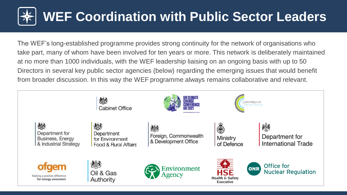## **WEF Coordination with Public Sector Leaders**

The WEF's long-established programme provides strong continuity for the network of organisations who take part, many of whom have been involved for ten years or more. This network is deliberately maintained at no more than 1000 individuals, with the WEF leadership liaising on an ongoing basis with up to 50 Directors in several key public sector agencies (below) regarding the emerging issues that would benefit from broader discussion. In this way the WEF programme always remains collaborative and relevant.

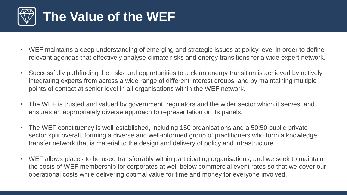

- WEF maintains a deep understanding of emerging and strategic issues at policy level in order to define relevant agendas that effectively analyse climate risks and energy transitions for a wide expert network.
- Successfully pathfinding the risks and opportunities to a clean energy transition is achieved by actively integrating experts from across a wide range of different interest groups, and by maintaining multiple points of contact at senior level in all organisations within the WEF network.
- The WEF is trusted and valued by government, regulators and the wider sector which it serves, and ensures an appropriately diverse approach to representation on its panels.
- The WEF constituency is well-established, including 150 organisations and a 50:50 public-private sector split overall, forming a diverse and well-informed group of practitioners who form a knowledge transfer network that is material to the design and delivery of policy and infrastructure.
- WEF allows places to be used transferrably within participating organisations, and we seek to maintain the costs of WEF membership for corporates at well below commercial event rates so that we cover our operational costs while delivering optimal value for time and money for everyone involved.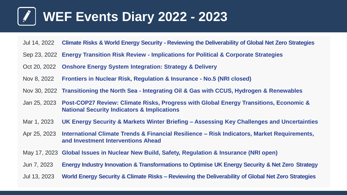### **WEF Events Diary 2022 - 2023**

- Jul 14, 2022 **Climate Risks & World Energy Security - Reviewing the Deliverability of Global Net Zero Strategies**
- Sep 23, 2022 **Energy Transition Risk Review - Implications for Political & Corporate Strategies**
- Oct 20, 2022 **Onshore Energy System Integration: Strategy & Delivery**
- Nov 8, 2022 **Frontiers in Nuclear Risk, Regulation & Insurance - No.5 (NRI closed)**
- Nov 30, 2022 **Transitioning the North Sea - Integrating Oil & Gas with CCUS, Hydrogen & Renewables**
- Jan 25, 2023 **Post-COP27 Review: Climate Risks, Progress with Global Energy Transitions, Economic & National Security Indicators & Implications**
- Mar 1, 2023 **UK Energy Security & Markets Winter Briefing – Assessing Key Challenges and Uncertainties**
- Apr 25, 2023 **International Climate Trends & Financial Resilience – Risk Indicators, Market Requirements, and Investment Interventions Ahead**
- May 17, 2023 **Global Issues in Nuclear New Build, Safety, Regulation & Insurance (NRI open)**
- Jun 7, 2023 **Energy Industry Innovation & Transformations to Optimise UK Energy Security & Net Zero Strategy**
- Jul 13, 2023 **World Energy Security & Climate Risks – Reviewing the Deliverability of Global Net Zero Strategies**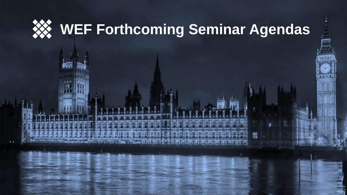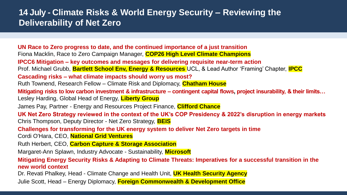#### **14 July - Climate Risks & World Energy Security – Reviewing the Deliverability of Net Zero**

**UN Race to Zero progress to date, and the continued importance of a just transition** Fiona Macklin, Race to Zero Campaign Manager, **COP26 High Level Climate Champions IPCC6 Mitigation – key outcomes and messages for delivering requisite near-term action** Prof. Michael Grubb, **Bartlett School Env, Energy & Resources** UCL, & Lead Author 'Framing' Chapter, **IPCC Cascading risks – what climate impacts should worry us most?** Ruth Townend, Research Fellow – Climate Risk and Diplomacy, **Chatham House Mitigating risks to low carbon investment & infrastructure – contingent capital flows, project insurability, & their limits…** Lesley Harding, Global Head of Energy, **Liberty Group** James Pay, Partner - Energy and Resources Project Finance, **Clifford Chance UK Net Zero Strategy reviewed in the context of the UK's COP Presidency & 2022's disruption in energy markets** Chris Thompson, Deputy Director - Net Zero Strategy, **BEIS Challenges for transforming for the UK energy system to deliver Net Zero targets in time** Cordi O'Hara, CEO, **National Grid Ventures** Ruth Herbert, CEO, **Carbon Capture & Storage Association** Margaret-Ann Splawn, Industry Advocate - Sustainability, **Microsoft Mitigating Energy Security Risks & Adapting to Climate Threats: Imperatives for a successful transition in the new world context** Dr. Revati Phalkey, Head - Climate Change and Health Unit, **UK Health Security Agency** Julie Scott, Head – Energy Diplomacy, **Foreign Commonwealth & Development Office**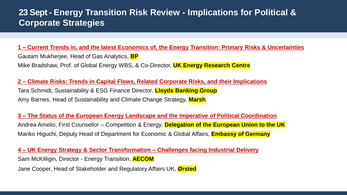#### **23 Sept - Energy Transition Risk Review - Implications for Political & Corporate Strategies**

**1 – Current Trends in, and the latest Economics of, the Energy Transition: Primary Risks & Uncertainties** Gautam Mukherjee, Head of Gas Analytics, **BP** Mike Bradshaw, Prof. of Global Energy WBS, & Co-Director, **UK Energy Research Centre**

**2 – Climate Risks: Trends in Capital Flows, Related Corporate Risks, and their Implications** Tara Schmidt, Sustainability & ESG Finance Director, **Lloyds Banking Group** Amy Barnes, Head of Sustainability and Climate Change Strategy, **Marsh**

**3 – The Status of the European Energy Landscape and the Imperative of Political Coordination** Andrea Amelio, First Counsellor – Competition & Energy, **Delegation of the European Union to the UK** Mariko Higuchi, Deputy Head of Department for Economic & Global Affairs, **Embassy of Germany**

**4 – UK Energy Strategy & Sector Transformation – Challenges facing Industrial Delivery** Sam McKilligin, Director - Energy Transition, **AECOM** Jane Cooper, Head of Stakeholder and Regulatory Affairs UK, **Ørsted**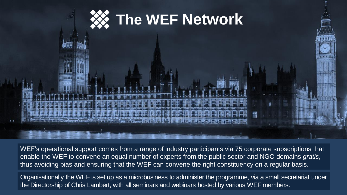

WEF's operational support comes from a range of industry participants via 75 corporate subscriptions that enable the WEF to convene an equal number of experts from the public sector and NGO domains *gratis*, thus avoiding bias and ensuring that the WEF can convene the right constituency on a regular basis.

Organisationally the WEF is set up as a microbusiness to administer the programme, via a small secretariat under the Directorship of Chris Lambert, with all seminars and webinars hosted by various WEF members.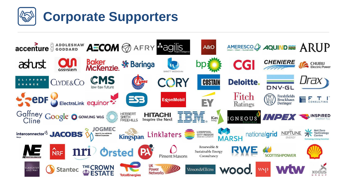

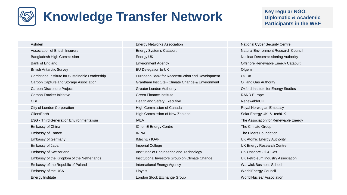## **Knowledge Transfer Network Key regular NGO, Key regular NGO, Key regular NGO**,

#### **Diplomatic & Academic Participants in the WEF**

| Ashden                                         | <b>Energy Networks Association</b>                | <b>National Cyber Security Centre</b> |
|------------------------------------------------|---------------------------------------------------|---------------------------------------|
| <b>Association of British Insurers</b>         | <b>Energy Systems Catapult</b>                    | <b>Natural Environment Research</b>   |
| Bangladesh High Commission                     | Energy UK                                         | Nuclear Decommissioning Auth          |
| Bank of England                                | <b>Environment Agency</b>                         | Offshore Renewable Energy Ca          |
| <b>British Antarctic Survey</b>                | EU Delegation to UK                               | Ofgem                                 |
| Cambridge Institute for Sustainable Leadership | European Bank for Reconstruction and Development  | <b>OGUK</b>                           |
| Carbon Capture and Storage Association         | Grantham Institute - Climate Change & Environment | Oil and Gas Authority                 |
| Carbon Disclosure Project                      | <b>Greater London Authority</b>                   | Oxford Institute for Energy Stud      |
| <b>Carbon Tracker Initiative</b>               | <b>Green Finance Institute</b>                    | <b>RAND Europe</b>                    |
| <b>CBI</b>                                     | <b>Health and Safety Executive</b>                | RenewableUK                           |
| City of London Corporation                     | High Commission of Canada                         | Royal Norwegian Embassy               |
| ClientEarth                                    | High Commission of New Zealand                    | Solar Energy UK & techUK              |
| E3G - Third Generation Environmentalism        | <b>IAEA</b>                                       | The Association for Renewable         |
| <b>Embassy of China</b>                        | IChemE Energy Centre                              | The Climate Group                     |
| <b>Embassy of France</b>                       | <b>IRINA</b>                                      | The Elders Foundation                 |
| <b>Embassy of Germany</b>                      | IMechE / IOAF                                     | UK Atomic Energy Authority            |
| Embassy of Japan                               | <b>Imperial College</b>                           | UK Energy Research Centre             |
| <b>Embassy of Switzerland</b>                  | Institution of Engineering and Technology         | UK Onshore Oil & Gas                  |
| Embassy of the Kingdom of the Netherlands      | Institutional Investors Group on Climate Change   | UK Petroleum Industry Associa         |
| Embassy of the Republic of Poland              | <b>International Energy Agency</b>                | <b>Warwick Business School</b>        |
| Embassy of the USA                             | Lloyd's                                           | World Energy Council                  |
| EnorayInstituto                                | London Stock Evehange Croup                       | <i>Marld Nuglear Acconiction</i>      |

**Energy Systems Catapult Insurers Energy Systems Catapult Natural Environment Research Council** Bangladesh High Commission Energy UK Nuclear Decommissioning Authority Bank of Environment Agency **Offshore Renewable Energy Catapult** Christian Energy Catapult British Antarctic Survey EU Delegation to UK of the UK of the UK of the UK of the UK of the UK of the UK of the UK of the UK of the UK of the UK of the UK of the UK of the UK of the UK of the UK of the UK of the UK of the European Bank for Reconstruction and Development **CGUK** Grantham Institute - Climate Change & Environment Oil and Gas Authority Care Carbon Authority Carbon Disclosure Project Greater London Authority Oxford Institute for Energy Studies Careen Finance Institute **Green Finance Institute** RAND Europe Health and Safety Executive RenewableUK **Commission of Canada Royal Norwegian Embassy** Royal Norwegian Embassy High Commission of New Zealand Solar Energy UK & techUK E3G - The Association for Renewable Energy **IChemE Energy Centre The Climate Group EXIMA** EMBASSY OF FRANCE IRINA THE ELDER TO THE ELDER THE ELDER TO THE ELDER TO THE ELDER THE ELDER TO THE ELDER THE ELDER THE ELDER THE ELDER THE ELDER THE ELDER THE ELDER THE ELDER THE ELDER THE ELDER THE ELDER THE ELDE **IMechE** / IOAF UK Atomic Energy Authority **Emperial College Imperial College Imperial College Imperial College Imperial College Imperial College Imperial College** Institution of Engineering and Technology **UK Onshore Oil & Gas** Institutional Investors Group on Climate Change UK Petroleum Industry Association **International Energy Agency Warwick Business School** Warwick Business School **Example 2** Lloyd's Council Council Council Council Council Council Council Council Council Council Council Council Council Council Council Council Council Council Council Council Council Council Council Council Council Co Energy Institute **London Stock Exchange Group** World Nuclear Association Christian Association London Stock Exchange Group